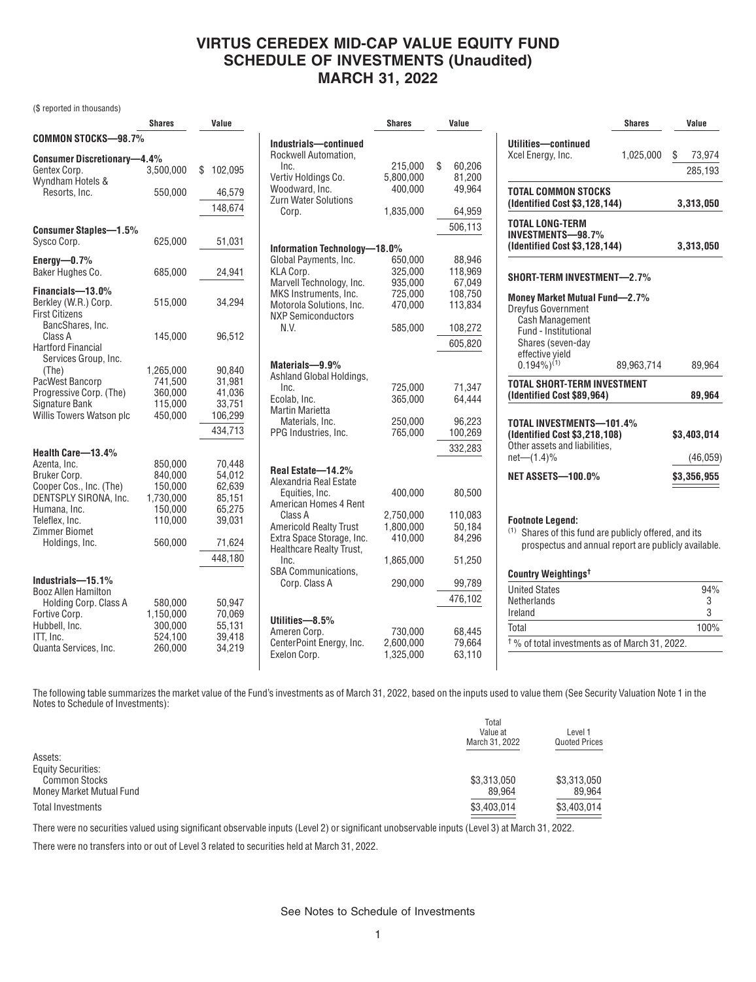## **VIRTUS CEREDEX MID-CAP VALUE EQUITY FUND SCHEDULE OF INVESTMENTS (Unaudited) MARCH 31, 2022**

(\$ reported in thousands)

|                                                   | <b>Shares</b> | Value         |                                                       | <b>Shares</b> | Value        |
|---------------------------------------------------|---------------|---------------|-------------------------------------------------------|---------------|--------------|
| <b>COMMON STOCKS-98.7%</b>                        |               |               | Industrials-continued                                 |               |              |
| <b>Consumer Discretionary-4.4%</b>                |               |               | Rockwell Automation,                                  |               |              |
| Gentex Corp.                                      | 3,500,000     | 102,095<br>\$ | Inc.                                                  | 215,000       | \$<br>60,206 |
| Wyndham Hotels &                                  |               |               | Vertiv Holdings Co.                                   | 5,800,000     | 81,200       |
| Resorts, Inc.                                     | 550,000       | 46,579        | Woodward, Inc.                                        | 400,000       | 49,964       |
|                                                   |               | 148,674       | Zurn Water Solutions<br>Corp.                         | 1,835,000     | 64,959       |
|                                                   |               |               |                                                       |               | 506,113      |
| <b>Consumer Staples-1.5%</b>                      |               |               |                                                       |               |              |
| Sysco Corp.                                       | 625,000       | 51,031        | Information Technology-18.0%                          |               |              |
| Energy $-0.7%$                                    |               |               | Global Payments, Inc.                                 | 650,000       | 88.946       |
| Baker Hughes Co.                                  | 685,000       | 24,941        | KLA Corp.                                             | 325,000       | 118,969      |
|                                                   |               |               | Marvell Technology, Inc.                              | 935,000       | 67,049       |
| Financials-13.0%                                  |               |               | MKS Instruments, Inc.                                 | 725,000       | 108,750      |
| Berkley (W.R.) Corp.<br><b>First Citizens</b>     | 515,000       | 34,294        | Motorola Solutions, Inc.<br><b>NXP Semiconductors</b> | 470,000       | 113,834      |
| BancShares, Inc.                                  |               |               | N.V.                                                  | 585,000       | 108,272      |
| Class A                                           | 145,000       | 96,512        |                                                       |               | 605,820      |
| <b>Hartford Financial</b><br>Services Group, Inc. |               |               |                                                       |               |              |
| (The)                                             | 1,265,000     | 90,840        | Materials-9.9%                                        |               |              |
| PacWest Bancorp                                   | 741,500       | 31,981        | Ashland Global Holdings,                              |               |              |
| Progressive Corp. (The)                           | 360,000       | 41,036        | Inc.                                                  | 725.000       | 71,347       |
| Signature Bank                                    | 115,000       | 33,751        | Ecolab, Inc.                                          | 365,000       | 64,444       |
| Willis Towers Watson plc                          | 450,000       | 106,299       | <b>Martin Marietta</b>                                |               |              |
|                                                   |               |               | Materials, Inc.                                       | 250,000       | 96,223       |
|                                                   |               | 434,713       | PPG Industries, Inc.                                  | 765,000       | 100,269      |
| Health Care-13.4%                                 |               |               |                                                       |               | 332,283      |
| Azenta, Inc.                                      | 850,000       | 70,448        |                                                       |               |              |
| Bruker Corp.                                      | 840,000       | 54,012        | Real Estate-14.2%                                     |               |              |
| Cooper Cos., Inc. (The)                           | 150,000       | 62,639        | Alexandria Real Estate                                |               |              |
| DENTSPLY SIRONA, Inc.                             | 1,730,000     | 85,151        | Equities, Inc.<br>American Homes 4 Rent               | 400,000       | 80,500       |
| Humana, Inc.                                      | 150,000       | 65,275        | Class A                                               | 2,750,000     | 110.083      |
| Teleflex, Inc.                                    | 110,000       | 39,031        | <b>Americold Realty Trust</b>                         | 1.800.000     | 50.184       |
| <b>Zimmer Biomet</b>                              |               |               | Extra Space Storage, Inc.                             | 410,000       | 84,296       |
| Holdings, Inc.                                    | 560,000       | 71,624        | Healthcare Realty Trust,                              |               |              |
|                                                   |               | 448,180       | Inc.                                                  | 1,865,000     | 51,250       |
|                                                   |               |               | <b>SBA Communications.</b>                            |               |              |
| Industrials-15.1%                                 |               |               | Corp. Class A                                         | 290,000       | 99,789       |
| <b>Booz Allen Hamilton</b>                        |               |               |                                                       |               | 476,102      |
| Holding Corp. Class A                             | 580,000       | 50,947        |                                                       |               |              |
| Fortive Corp.                                     | 1,150,000     | 70,069        | Utilities-8.5%                                        |               |              |
| Hubbell, Inc.                                     | 300,000       | 55,131        | Ameren Corp.                                          | 730,000       | 68,445       |
| ITT, Inc.                                         | 524,100       | 39,418        | CenterPoint Energy, Inc.                              | 2,600,000     | 79,664       |
| Quanta Services, Inc.                             | 260,000       | 34,219        | Exelon Corp.                                          | 1,325,000     | 63,110       |

|                                                                                                                                                                                  | <b>Shares</b> | Value                    |
|----------------------------------------------------------------------------------------------------------------------------------------------------------------------------------|---------------|--------------------------|
| Utilities-continued<br>Xcel Energy, Inc.                                                                                                                                         | 1,025,000     | \$<br>73,974<br>285,193  |
| TOTAL COMMON STOCKS<br>(Identified Cost \$3,128,144)                                                                                                                             |               | 3,313,050                |
| TOTAL LONG-TERM<br>INVESTMENTS-98.7%<br>(Identified Cost \$3,128,144)                                                                                                            |               | 3,313,050                |
| SHORT-TERM INVESTMENT-2.7%                                                                                                                                                       |               |                          |
| Money Market Mutual Fund-2.7%<br><b>Dreyfus Government</b><br><b>Cash Management</b><br>Fund - Institutional<br>Shares (seven-day<br>effective yield<br>$0.194\%$ <sup>(1)</sup> | 89,963,714    | 89,964                   |
| <b>TOTAL SHORT-TERM INVESTMENT</b><br>(Identified Cost \$89,964)                                                                                                                 |               | 89,964                   |
| TOTAL INVESTMENTS-101.4%<br>(Identified Cost \$3,218,108)<br>Other assets and liabilities,<br>$net-(1.4)\%$                                                                      |               | \$3,403,014<br>(46, 059) |
| <b>NET ASSETS-100.0%</b>                                                                                                                                                         |               | \$3,356,955              |
| <b>Footnote Legend:</b><br><sup>(1)</sup> Shares of this fund are publicly offered, and its<br>prospectus and annual report are publicly available.                              |               |                          |
| Country Weightings <sup>t</sup>                                                                                                                                                  |               |                          |
| <b>United States</b><br>Netherlands<br>Ireland                                                                                                                                   |               | 94%<br>3<br>3            |

Total 100% † % of total investments as of March 31, 2022.

The following table summarizes the market value of the Fund's investments as of March 31, 2022, based on the inputs used to value them (See Security Valuation Note 1 in the Notes to Schedule of Investments):

|                           | Total<br>Value at<br>March 31, 2022 | Level 1<br><b>Quoted Prices</b> |
|---------------------------|-------------------------------------|---------------------------------|
| Assets:                   |                                     |                                 |
| <b>Equity Securities:</b> |                                     |                                 |
| <b>Common Stocks</b>      | \$3,313,050                         | \$3,313,050                     |
| Money Market Mutual Fund  | 89,964                              | 89.964                          |
| Total Investments         | \$3,403,014                         | \$3,403,014                     |

There were no securities valued using significant observable inputs (Level 2) or significant unobservable inputs (Level 3) at March 31, 2022.

There were no transfers into or out of Level 3 related to securities held at March 31, 2022.

See Notes to Schedule of Investments